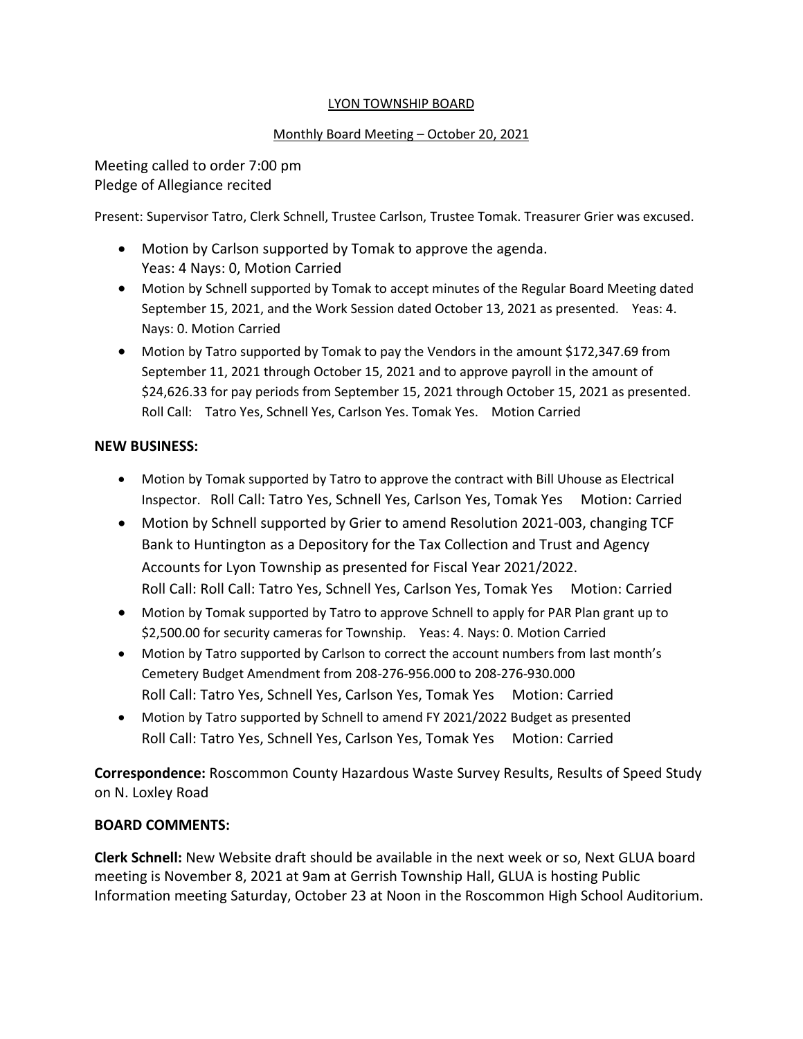## LYON TOWNSHIP BOARD

## Monthly Board Meeting – October 20, 2021

Meeting called to order 7:00 pm Pledge of Allegiance recited

Present: Supervisor Tatro, Clerk Schnell, Trustee Carlson, Trustee Tomak. Treasurer Grier was excused.

- Motion by Carlson supported by Tomak to approve the agenda. Yeas: 4 Nays: 0, Motion Carried
- Motion by Schnell supported by Tomak to accept minutes of the Regular Board Meeting dated September 15, 2021, and the Work Session dated October 13, 2021 as presented. Yeas: 4. Nays: 0. Motion Carried
- Motion by Tatro supported by Tomak to pay the Vendors in the amount \$172,347.69 from September 11, 2021 through October 15, 2021 and to approve payroll in the amount of \$24,626.33 for pay periods from September 15, 2021 through October 15, 2021 as presented. Roll Call: Tatro Yes, Schnell Yes, Carlson Yes. Tomak Yes. Motion Carried

## **NEW BUSINESS:**

- Motion by Tomak supported by Tatro to approve the contract with Bill Uhouse as Electrical Inspector. Roll Call: Tatro Yes, Schnell Yes, Carlson Yes, Tomak Yes Motion: Carried
- Motion by Schnell supported by Grier to amend Resolution 2021-003, changing TCF Bank to Huntington as a Depository for the Tax Collection and Trust and Agency Accounts for Lyon Township as presented for Fiscal Year 2021/2022. Roll Call: Roll Call: Tatro Yes, Schnell Yes, Carlson Yes, Tomak Yes Motion: Carried
- Motion by Tomak supported by Tatro to approve Schnell to apply for PAR Plan grant up to \$2,500.00 for security cameras for Township. Yeas: 4. Nays: 0. Motion Carried
- Motion by Tatro supported by Carlson to correct the account numbers from last month's Cemetery Budget Amendment from 208-276-956.000 to 208-276-930.000 Roll Call: Tatro Yes, Schnell Yes, Carlson Yes, Tomak Yes Motion: Carried
- Motion by Tatro supported by Schnell to amend FY 2021/2022 Budget as presented Roll Call: Tatro Yes, Schnell Yes, Carlson Yes, Tomak Yes Motion: Carried

**Correspondence:** Roscommon County Hazardous Waste Survey Results, Results of Speed Study on N. Loxley Road

## **BOARD COMMENTS:**

**Clerk Schnell:** New Website draft should be available in the next week or so, Next GLUA board meeting is November 8, 2021 at 9am at Gerrish Township Hall, GLUA is hosting Public Information meeting Saturday, October 23 at Noon in the Roscommon High School Auditorium.